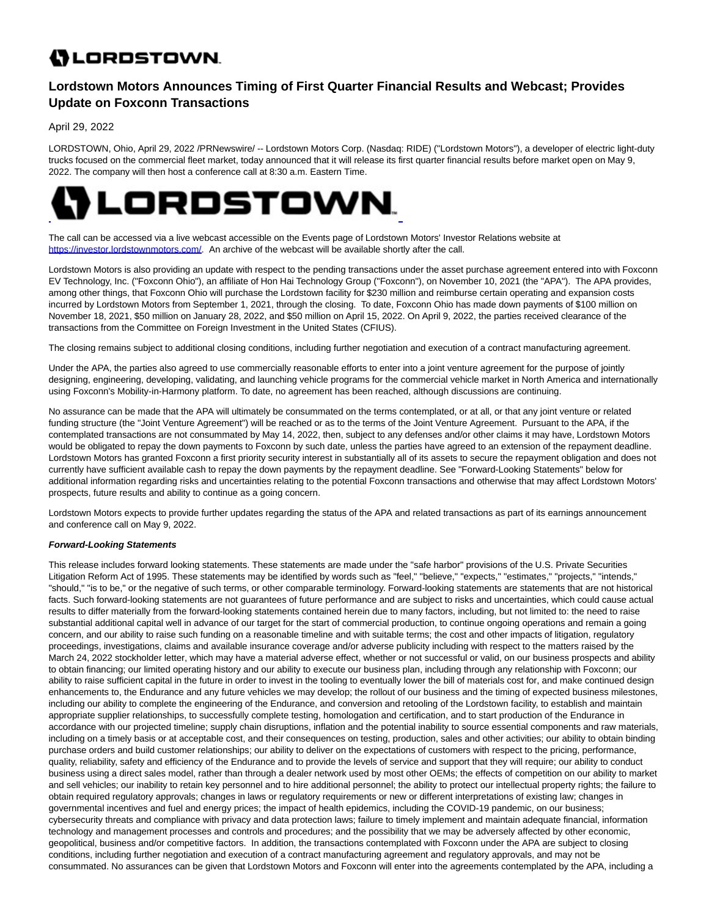## **()** LORDSTOWN.

## **Lordstown Motors Announces Timing of First Quarter Financial Results and Webcast; Provides Update on Foxconn Transactions**

April 29, 2022

LORDSTOWN, Ohio, April 29, 2022 /PRNewswire/ -- Lordstown Motors Corp. (Nasdaq: RIDE) ("Lordstown Motors"), a developer of electric light-duty trucks focused on the commercial fleet market, today announced that it will release its first quarter financial results before market open on May 9, 2022. The company will then host a conference call at 8:30 a.m. Eastern Time.



The call can be accessed via a live webcast accessible on the Events page of Lordstown Motors' Investor Relations website at [https://investor.lordstownmotors.com/.](https://investor.lordstownmotors.com/) An archive of the webcast will be available shortly after the call.

Lordstown Motors is also providing an update with respect to the pending transactions under the asset purchase agreement entered into with Foxconn EV Technology, Inc. ("Foxconn Ohio"), an affiliate of Hon Hai Technology Group ("Foxconn"), on November 10, 2021 (the "APA"). The APA provides, among other things, that Foxconn Ohio will purchase the Lordstown facility for \$230 million and reimburse certain operating and expansion costs incurred by Lordstown Motors from September 1, 2021, through the closing. To date, Foxconn Ohio has made down payments of \$100 million on November 18, 2021, \$50 million on January 28, 2022, and \$50 million on April 15, 2022. On April 9, 2022, the parties received clearance of the transactions from the Committee on Foreign Investment in the United States (CFIUS).

The closing remains subject to additional closing conditions, including further negotiation and execution of a contract manufacturing agreement.

Under the APA, the parties also agreed to use commercially reasonable efforts to enter into a joint venture agreement for the purpose of jointly designing, engineering, developing, validating, and launching vehicle programs for the commercial vehicle market in North America and internationally using Foxconn's Mobility-in-Harmony platform. To date, no agreement has been reached, although discussions are continuing.

No assurance can be made that the APA will ultimately be consummated on the terms contemplated, or at all, or that any joint venture or related funding structure (the "Joint Venture Agreement") will be reached or as to the terms of the Joint Venture Agreement. Pursuant to the APA, if the contemplated transactions are not consummated by May 14, 2022, then, subject to any defenses and/or other claims it may have, Lordstown Motors would be obligated to repay the down payments to Foxconn by such date, unless the parties have agreed to an extension of the repayment deadline. Lordstown Motors has granted Foxconn a first priority security interest in substantially all of its assets to secure the repayment obligation and does not currently have sufficient available cash to repay the down payments by the repayment deadline. See "Forward-Looking Statements" below for additional information regarding risks and uncertainties relating to the potential Foxconn transactions and otherwise that may affect Lordstown Motors' prospects, future results and ability to continue as a going concern.

Lordstown Motors expects to provide further updates regarding the status of the APA and related transactions as part of its earnings announcement and conference call on May 9, 2022.

## **Forward-Looking Statements**

This release includes forward looking statements. These statements are made under the "safe harbor" provisions of the U.S. Private Securities Litigation Reform Act of 1995. These statements may be identified by words such as "feel," "believe," "expects," "estimates," "projects," "intends," "should," "is to be," or the negative of such terms, or other comparable terminology. Forward-looking statements are statements that are not historical facts. Such forward-looking statements are not guarantees of future performance and are subject to risks and uncertainties, which could cause actual results to differ materially from the forward-looking statements contained herein due to many factors, including, but not limited to: the need to raise substantial additional capital well in advance of our target for the start of commercial production, to continue ongoing operations and remain a going concern, and our ability to raise such funding on a reasonable timeline and with suitable terms; the cost and other impacts of litigation, regulatory proceedings, investigations, claims and available insurance coverage and/or adverse publicity including with respect to the matters raised by the March 24, 2022 stockholder letter, which may have a material adverse effect, whether or not successful or valid, on our business prospects and ability to obtain financing; our limited operating history and our ability to execute our business plan, including through any relationship with Foxconn; our ability to raise sufficient capital in the future in order to invest in the tooling to eventually lower the bill of materials cost for, and make continued design enhancements to, the Endurance and any future vehicles we may develop; the rollout of our business and the timing of expected business milestones, including our ability to complete the engineering of the Endurance, and conversion and retooling of the Lordstown facility, to establish and maintain appropriate supplier relationships, to successfully complete testing, homologation and certification, and to start production of the Endurance in accordance with our projected timeline; supply chain disruptions, inflation and the potential inability to source essential components and raw materials, including on a timely basis or at acceptable cost, and their consequences on testing, production, sales and other activities; our ability to obtain binding purchase orders and build customer relationships; our ability to deliver on the expectations of customers with respect to the pricing, performance, quality, reliability, safety and efficiency of the Endurance and to provide the levels of service and support that they will require; our ability to conduct business using a direct sales model, rather than through a dealer network used by most other OEMs; the effects of competition on our ability to market and sell vehicles; our inability to retain key personnel and to hire additional personnel; the ability to protect our intellectual property rights; the failure to obtain required regulatory approvals; changes in laws or regulatory requirements or new or different interpretations of existing law; changes in governmental incentives and fuel and energy prices; the impact of health epidemics, including the COVID-19 pandemic, on our business; cybersecurity threats and compliance with privacy and data protection laws; failure to timely implement and maintain adequate financial, information technology and management processes and controls and procedures; and the possibility that we may be adversely affected by other economic, geopolitical, business and/or competitive factors. In addition, the transactions contemplated with Foxconn under the APA are subject to closing conditions, including further negotiation and execution of a contract manufacturing agreement and regulatory approvals, and may not be consummated. No assurances can be given that Lordstown Motors and Foxconn will enter into the agreements contemplated by the APA, including a